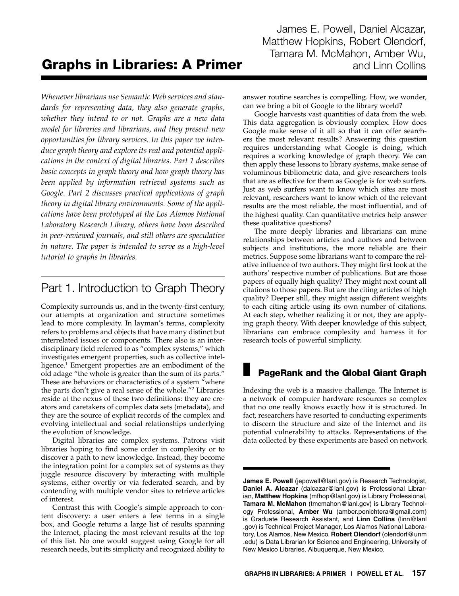James E. Powell, Daniel Alcazar, Matthew Hopkins, Robert Olendorf, Tamara M. McMahon, Amber Wu,

# **Graphs in Libraries: A Primer and Linn Collins**

*Whenever librarians use Semantic Web services and standards for representing data, they also generate graphs, whether they intend to or not. Graphs are a new data model for libraries and librarians, and they present new opportunities for library services. In this paper we introduce graph theory and explore its real and potential applications in the context of digital libraries. Part 1 describes basic concepts in graph theory and how graph theory has been applied by information retrieval systems such as Google. Part 2 discusses practical applications of graph theory in digital library environments. Some of the applications have been prototyped at the Los Alamos National Laboratory Research Library, others have been described in peer-reviewed journals, and still others are speculative in nature. The paper is intended to serve as a high-level tutorial to graphs in libraries.*

# Part 1. Introduction to Graph Theory

Complexity surrounds us, and in the twenty-first century, our attempts at organization and structure sometimes lead to more complexity. In layman's terms, complexity refers to problems and objects that have many distinct but interrelated issues or components. There also is an interdisciplinary field referred to as "complex systems," which investigates emergent properties, such as collective intelligence.<sup>1</sup> Emergent properties are an embodiment of the old adage "the whole is greater than the sum of its parts." These are behaviors or characteristics of a system "where the parts don't give a real sense of the whole."2 Libraries reside at the nexus of these two definitions: they are creators and caretakers of complex data sets (metadata), and they are the source of explicit records of the complex and evolving intellectual and social relationships underlying the evolution of knowledge.

Digital libraries are complex systems. Patrons visit libraries hoping to find some order in complexity or to discover a path to new knowledge. Instead, they become the integration point for a complex set of systems as they juggle resource discovery by interacting with multiple systems, either overtly or via federated search, and by contending with multiple vendor sites to retrieve articles of interest.

Contrast this with Google's simple approach to content discovery: a user enters a few terms in a single box, and Google returns a large list of results spanning the Internet, placing the most relevant results at the top of this list. No one would suggest using Google for all research needs, but its simplicity and recognized ability to

answer routine searches is compelling. How, we wonder, can we bring a bit of Google to the library world?

Google harvests vast quantities of data from the web. This data aggregation is obviously complex. How does Google make sense of it all so that it can offer searchers the most relevant results? Answering this question requires understanding what Google is doing, which requires a working knowledge of graph theory. We can then apply these lessons to library systems, make sense of voluminous bibliometric data, and give researchers tools that are as effective for them as Google is for web surfers. Just as web surfers want to know which sites are most relevant, researchers want to know which of the relevant results are the most reliable, the most influential, and of the highest quality. Can quantitative metrics help answer these qualitative questions?

The more deeply libraries and librarians can mine relationships between articles and authors and between subjects and institutions, the more reliable are their metrics. Suppose some librarians want to compare the relative influence of two authors. They might first look at the authors' respective number of publications. But are those papers of equally high quality? They might next count all citations to those papers. But are the citing articles of high quality? Deeper still, they might assign different weights to each citing article using its own number of citations. At each step, whether realizing it or not, they are applying graph theory. With deeper knowledge of this subject, librarians can embrace complexity and harness it for research tools of powerful simplicity.

# PageRank and the Global Giant Graph

Indexing the web is a massive challenge. The Internet is a network of computer hardware resources so complex that no one really knows exactly how it is structured. In fact, researchers have resorted to conducting experiments to discern the structure and size of the Internet and its potential vulnerability to attacks. Representations of the data collected by these experiments are based on network

**James E. Powell** (jepowell@lanl.gov) is Research Technologist, **Daniel A. Alcazar** (dalcazar@lanl.gov) is Professional Librarian, **Matthew Hopkins** (mfhop@lanl.gov) is Library Professional, **Tamara M. McMahon** (tmcmahon@lanl.gov) is Library Technology Professional, **Amber Wu** (amber.ponichtera@gmail.com) is Graduate Research Assistant, and **Linn Collins** (linn@lanl .gov) is Technical Project Manager, Los Alamos National Laboratory, Los Alamos, New Mexico. **Robert Olendorf** (olendorf@unm .edu) is Data Librarian for Science and Engineering, University of New Mexico Libraries, Albuquerque, New Mexico.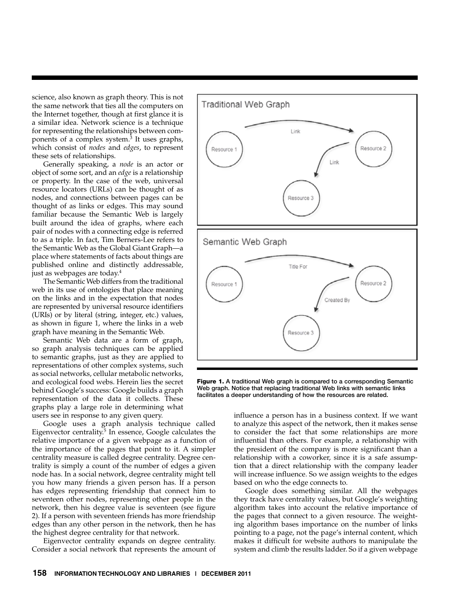science, also known as graph theory. This is not the same network that ties all the computers on the Internet together, though at first glance it is a similar idea. Network science is a technique for representing the relationships between components of a complex system.<sup>3</sup> It uses graphs, which consist of *nodes* and *edges*, to represent these sets of relationships.

Generally speaking, a *node* is an actor or object of some sort, and an *edge* is a relationship or property. In the case of the web, universal resource locators (URLs) can be thought of as nodes, and connections between pages can be thought of as links or edges. This may sound familiar because the Semantic Web is largely built around the idea of graphs, where each pair of nodes with a connecting edge is referred to as a triple. In fact, Tim Berners-Lee refers to the Semantic Web as the Global Giant Graph—a place where statements of facts about things are published online and distinctly addressable, just as webpages are today.4

The Semantic Web differs from the traditional web in its use of ontologies that place meaning on the links and in the expectation that nodes are represented by universal resource identifiers (URIs) or by literal (string, integer, etc.) values, as shown in figure 1, where the links in a web graph have meaning in the Semantic Web.

Semantic Web data are a form of graph, so graph analysis techniques can be applied to semantic graphs, just as they are applied to representations of other complex systems, such as social networks, cellular metabolic networks, and ecological food webs. Herein lies the secret behind Google's success: Google builds a graph representation of the data it collects. These graphs play a large role in determining what users see in response to any given query.

Google uses a graph analysis technique called Eigenvector centrality.<sup>5</sup> In essence, Google calculates the relative importance of a given webpage as a function of the importance of the pages that point to it. A simpler centrality measure is called degree centrality. Degree centrality is simply a count of the number of edges a given node has. In a social network, degree centrality might tell you how many friends a given person has. If a person has edges representing friendship that connect him to seventeen other nodes, representing other people in the network, then his degree value is seventeen (see figure 2). If a person with seventeen friends has more friendship edges than any other person in the network, then he has the highest degree centrality for that network.

Eigenvector centrality expands on degree centrality. Consider a social network that represents the amount of



Figure 1. A traditional Web graph is compared to a corresponding Semantic Web graph. Notice that replacing traditional Web links with semantic links facilitates a deeper understanding of how the resources are related.

influence a person has in a business context. If we want to analyze this aspect of the network, then it makes sense to consider the fact that some relationships are more influential than others. For example, a relationship with the president of the company is more significant than a relationship with a coworker, since it is a safe assumption that a direct relationship with the company leader will increase influence. So we assign weights to the edges based on who the edge connects to.

Google does something similar. All the webpages they track have centrality values, but Google's weighting algorithm takes into account the relative importance of the pages that connect to a given resource. The weighting algorithm bases importance on the number of links pointing to a page, not the page's internal content, which makes it difficult for website authors to manipulate the system and climb the results ladder. So if a given webpage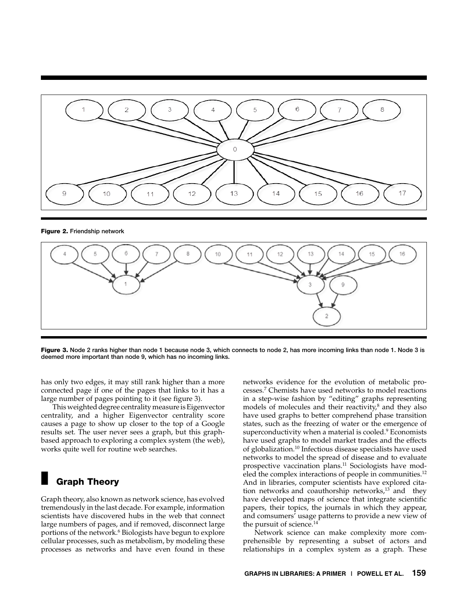

Figure 2. Friendship network



Figure 3. Node 2 ranks higher than node 1 because node 3, which connects to node 2, has more incoming links than node 1. Node 3 is deemed more important than node 9, which has no incoming links.

has only two edges, it may still rank higher than a more connected page if one of the pages that links to it has a large number of pages pointing to it (see figure 3).

This weighted degree centrality measure is Eigenvector centrality, and a higher Eigenvector centrality score causes a page to show up closer to the top of a Google results set. The user never sees a graph, but this graphbased approach to exploring a complex system (the web), works quite well for routine web searches.

# **Graph Theory**

Graph theory, also known as network science, has evolved tremendously in the last decade. For example, information scientists have discovered hubs in the web that connect large numbers of pages, and if removed, disconnect large portions of the network.<sup>6</sup> Biologists have begun to explore cellular processes, such as metabolism, by modeling these processes as networks and have even found in these

networks evidence for the evolution of metabolic processes.7 Chemists have used networks to model reactions in a step-wise fashion by "editing" graphs representing models of molecules and their reactivity, $\delta$  and they also have used graphs to better comprehend phase transition states, such as the freezing of water or the emergence of superconductivity when a material is cooled.<sup>9</sup> Economists have used graphs to model market trades and the effects of globalization.10 Infectious disease specialists have used networks to model the spread of disease and to evaluate prospective vaccination plans.<sup>11</sup> Sociologists have modeled the complex interactions of people in communities.<sup>12</sup> And in libraries, computer scientists have explored citation networks and coauthorship networks, $13$  and they have developed maps of science that integrate scientific papers, their topics, the journals in which they appear, and comsumers' usage patterns to provide a new view of the pursuit of science. $14$ 

Network science can make complexity more comprehensible by representing a subset of actors and relationships in a complex system as a graph. These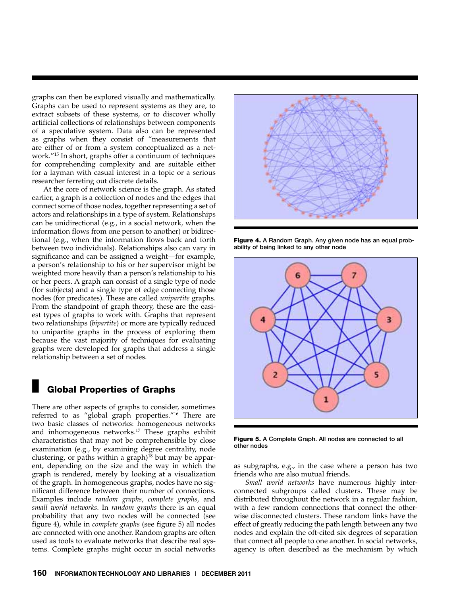graphs can then be explored visually and mathematically. Graphs can be used to represent systems as they are, to extract subsets of these systems, or to discover wholly artificial collections of relationships between components of a speculative system. Data also can be represented as graphs when they consist of "measurements that are either of or from a system conceptualized as a network."15 In short, graphs offer a continuum of techniques for comprehending complexity and are suitable either for a layman with casual interest in a topic or a serious researcher ferreting out discrete details.

At the core of network science is the graph. As stated earlier, a graph is a collection of nodes and the edges that connect some of those nodes, together representing a set of actors and relationships in a type of system. Relationships can be unidirectional (e.g., in a social network, when the information flows from one person to another) or bidirectional (e.g., when the information flows back and forth between two individuals). Relationships also can vary in significance and can be assigned a weight—for example, a person's relationship to his or her supervisor might be weighted more heavily than a person's relationship to his or her peers. A graph can consist of a single type of node (for subjects) and a single type of edge connecting those nodes (for predicates). These are called *unipartite* graphs. From the standpoint of graph theory, these are the easiest types of graphs to work with. Graphs that represent two relationships (*bipartite*) or more are typically reduced to unipartite graphs in the process of exploring them because the vast majority of techniques for evaluating graphs were developed for graphs that address a single relationship between a set of nodes.

### **Global Properties of Graphs**

There are other aspects of graphs to consider, sometimes referred to as "global graph properties."16 There are two basic classes of networks: homogeneous networks and inhomogeneous networks.<sup>17</sup> These graphs exhibit characteristics that may not be comprehensible by close examination (e.g., by examining degree centrality, node clustering, or paths within a graph) $18$  but may be apparent, depending on the size and the way in which the graph is rendered, merely by looking at a visualization of the graph. In homogeneous graphs, nodes have no significant difference between their number of connections. Examples include *random graphs*, *complete graphs*, and *small world networks*. In *random graphs* there is an equal probability that any two nodes will be connected (see figure 4), while in *complete graphs* (see figure 5) all nodes are connected with one another. Random graphs are often used as tools to evaluate networks that describe real systems. Complete graphs might occur in social networks



Figure 4. A Random Graph. Any given node has an equal probability of being linked to any other node



Figure 5. A Complete Graph. All nodes are connected to all other nodes

as subgraphs, e.g., in the case where a person has two friends who are also mutual friends.

*Small world networks* have numerous highly interconnected subgroups called clusters. These may be distributed throughout the network in a regular fashion, with a few random connections that connect the otherwise disconnected clusters. These random links have the effect of greatly reducing the path length between any two nodes and explain the oft-cited six degrees of separation that connect all people to one another. In social networks, agency is often described as the mechanism by which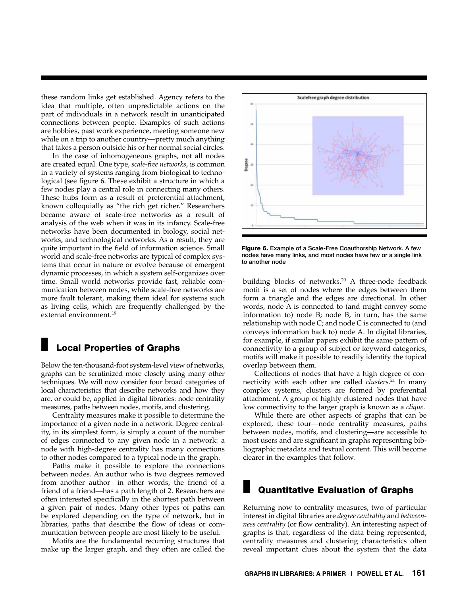these random links get established. Agency refers to the idea that multiple, often unpredictable actions on the part of individuals in a network result in unanticipated connections between people. Examples of such actions are hobbies, past work experience, meeting someone new while on a trip to another country—pretty much anything that takes a person outside his or her normal social circles.

In the case of inhomogeneous graphs, not all nodes are created equal. One type, *scale-free networks*, is common in a variety of systems ranging from biological to technological (see figure 6. These exhibit a structure in which a few nodes play a central role in connecting many others. These hubs form as a result of preferential attachment, known colloquially as "the rich get richer." Researchers became aware of scale-free networks as a result of analysis of the web when it was in its infancy. Scale-free networks have been documented in biology, social networks, and technological networks. As a result, they are quite important in the field of information science. Small world and scale-free networks are typical of complex systems that occur in nature or evolve because of emergent dynamic processes, in which a system self-organizes over time. Small world networks provide fast, reliable communication between nodes, while scale-free networks are more fault tolerant, making them ideal for systems such as living cells, which are frequently challenged by the external environment.<sup>19</sup>

## **Local Properties of Graphs**

Below the ten-thousand-foot system-level view of networks, graphs can be scrutinized more closely using many other techniques. We will now consider four broad categories of local characteristics that describe networks and how they are, or could be, applied in digital libraries: node centrality measures, paths between nodes, motifs, and clustering.

Centrality measures make it possible to determine the importance of a given node in a network. Degree centrality, in its simplest form, is simply a count of the number of edges connected to any given node in a network: a node with high-degree centrality has many connections to other nodes compared to a typical node in the graph.

Paths make it possible to explore the connections between nodes. An author who is two degrees removed from another author—in other words, the friend of a friend of a friend—has a path length of 2. Researchers are often interested specifically in the shortest path between a given pair of nodes. Many other types of paths can be explored depending on the type of network, but in libraries, paths that describe the flow of ideas or communication between people are most likely to be useful.

Motifs are the fundamental recurring structures that make up the larger graph, and they often are called the



Figure 6. Example of a Scale-Free Coauthorship Network. A few nodes have many links, and most nodes have few or a single link to another node

building blocks of networks.<sup>20</sup> A three-node feedback motif is a set of nodes where the edges between them form a triangle and the edges are directional. In other words, node A is connected to (and might convey some information to) node B; node B, in turn, has the same relationship with node C; and node C is connected to (and conveys information back to) node A. In digital libraries, for example, if similar papers exhibit the same pattern of connectivity to a group of subject or keyword categories, motifs will make it possible to readily identify the topical overlap between them.

Collections of nodes that have a high degree of connectivity with each other are called *clusters*. 21 In many complex systems, clusters are formed by preferential attachment. A group of highly clustered nodes that have low connectivity to the larger graph is known as a *clique*.

While there are other aspects of graphs that can be explored, these four—node centrality measures, paths between nodes, motifs, and clustering—are accessible to most users and are significant in graphs representing bibliographic metadata and textual content. This will become clearer in the examples that follow.

## **Quantitative Evaluation of Graphs**

Returning now to centrality measures, two of particular interest in digital libraries are *degree centrality* and *betweenness centrality* (or flow centrality). An interesting aspect of graphs is that, regardless of the data being represented, centrality measures and clustering characteristics often reveal important clues about the system that the data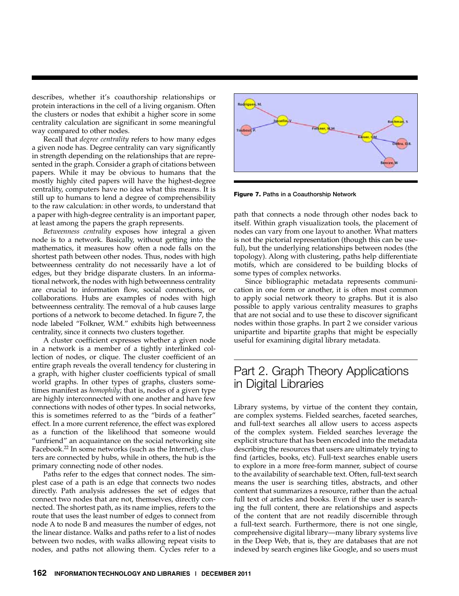describes, whether it's coauthorship relationships or protein interactions in the cell of a living organism. Often the clusters or nodes that exhibit a higher score in some centrality calculation are significant in some meaningful way compared to other nodes.

Recall that *degree centrality* refers to how many edges a given node has. Degree centrality can vary significantly in strength depending on the relationships that are represented in the graph. Consider a graph of citations between papers. While it may be obvious to humans that the mostly highly cited papers will have the highest-degree centrality, computers have no idea what this means. It is still up to humans to lend a degree of comprehensibility to the raw calculation: in other words, to understand that a paper with high-degree centrality is an important paper, at least among the papers the graph represents.

*Betweenness centrality* exposes how integral a given node is to a network. Basically, without getting into the mathematics, it measures how often a node falls on the shortest path between other nodes. Thus, nodes with high betweenness centrality do not necessarily have a lot of edges, but they bridge disparate clusters. In an informational network, the nodes with high betweenness centrality are crucial to information flow, social connections, or collaborations. Hubs are examples of nodes with high betweenness centrality. The removal of a hub causes large portions of a network to become detached. In figure 7, the node labeled "Folkner, W.M." exhibits high betweenness centrality, since it connects two clusters together.

A cluster coefficient expresses whether a given node in a network is a member of a tightly interlinked collection of nodes, or clique. The cluster coefficient of an entire graph reveals the overall tendency for clustering in a graph, with higher cluster coefficients typical of small world graphs. In other types of graphs, clusters sometimes manifest as *homophily*; that is, nodes of a given type are highly interconnected with one another and have few connections with nodes of other types. In social networks, this is sometimes referred to as the "birds of a feather" effect. In a more current reference, the effect was explored as a function of the likelihood that someone would "unfriend" an acquaintance on the social networking site Facebook.<sup>22</sup> In some networks (such as the Internet), clusters are connected by hubs, while in others, the hub is the primary connecting node of other nodes.

Paths refer to the edges that connect nodes. The simplest case of a path is an edge that connects two nodes directly. Path analysis addresses the set of edges that connect two nodes that are not, themselves, directly connected. The shortest path, as its name implies, refers to the route that uses the least number of edges to connect from node A to node B and measures the number of edges, not the linear distance. Walks and paths refer to a list of nodes between two nodes, with walks allowing repeat visits to nodes, and paths not allowing them. Cycles refer to a



Figure 7. Paths in a Coauthorship Network

path that connects a node through other nodes back to itself. Within graph visualization tools, the placement of nodes can vary from one layout to another. What matters is not the pictorial representation (though this can be useful), but the underlying relationships between nodes (the topology). Along with clustering, paths help differentiate motifs, which are considered to be building blocks of some types of complex networks.

Since bibliographic metadata represents communication in one form or another, it is often most common to apply social network theory to graphs. But it is also possible to apply various centrality measures to graphs that are not social and to use these to discover significant nodes within those graphs. In part 2 we consider various unipartite and bipartite graphs that might be especially useful for examining digital library metadata.

# Part 2. Graph Theory Applications in Digital Libraries

Library systems, by virtue of the content they contain, are complex systems. Fielded searches, faceted searches, and full-text searches all allow users to access aspects of the complex system. Fielded searches leverage the explicit structure that has been encoded into the metadata describing the resources that users are ultimately trying to find (articles, books, etc). Full-text searches enable users to explore in a more free-form manner, subject of course to the availability of searchable text. Often, full-text search means the user is searching titles, abstracts, and other content that summarizes a resource, rather than the actual full text of articles and books. Even if the user is searching the full content, there are relationships and aspects of the content that are not readily discernible through a full-text search. Furthermore, there is not one single, comprehensive digital library—many library systems live in the Deep Web, that is, they are databases that are not indexed by search engines like Google, and so users must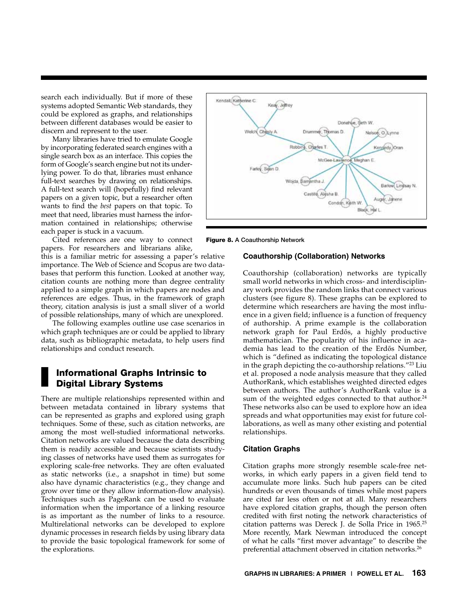search each individually. But if more of these systems adopted Semantic Web standards, they could be explored as graphs, and relationships between different databases would be easier to discern and represent to the user.

Many libraries have tried to emulate Google by incorporating federated search engines with a single search box as an interface. This copies the form of Google's search engine but not its underlying power. To do that, libraries must enhance full-text searches by drawing on relationships. A full-text search will (hopefully) find relevant papers on a given topic, but a researcher often wants to find the *best* papers on that topic. To meet that need, libraries must harness the information contained in relationships; otherwise each paper is stuck in a vacuum.

Cited references are one way to connect papers. For researchers and librarians alike,

this is a familiar metric for assessing a paper's relative importance. The Web of Science and Scopus are two databases that perform this function. Looked at another way, citation counts are nothing more than degree centrality applied to a simple graph in which papers are nodes and references are edges. Thus, in the framework of graph theory, citation analysis is just a small sliver of a world of possible relationships, many of which are unexplored.

The following examples outline use case scenarios in which graph techniques are or could be applied to library data, such as bibliographic metadata, to help users find relationships and conduct research.

### Informational Graphs Intrinsic to Digital Library Systems

There are multiple relationships represented within and between metadata contained in library systems that can be represented as graphs and explored using graph techniques. Some of these, such as citation networks, are among the most well-studied informational networks. Citation networks are valued because the data describing them is readily accessible and because scientists studying classes of networks have used them as surrogates for exploring scale-free networks. They are often evaluated as static networks (i.e., a snapshot in time) but some also have dynamic characteristics (e.g., they change and grow over time or they allow information-flow analysis). Techniques such as PageRank can be used to evaluate information when the importance of a linking resource is as important as the number of links to a resource. Multirelational networks can be developed to explore dynamic processes in research fields by using library data to provide the basic topological framework for some of the explorations.





#### **Coauthorship (Collaboration) Networks**

Coauthorship (collaboration) networks are typically small world networks in which cross- and interdisciplinary work provides the random links that connect various clusters (see figure 8). These graphs can be explored to determine which researchers are having the most influence in a given field; influence is a function of frequency of authorship. A prime example is the collaboration network graph for Paul Erdős, a highly productive mathematician. The popularity of his influence in academia has lead to the creation of the Erdős Number, which is "defined as indicating the topological distance in the graph depicting the co-authorship relations."23 Liu et al. proposed a node analysis measure that they called AuthorRank, which establishes weighted directed edges between authors. The author's AuthorRank value is a sum of the weighted edges connected to that author.<sup>24</sup> These networks also can be used to explore how an idea spreads and what opportunities may exist for future collaborations, as well as many other existing and potential relationships.

#### **Citation Graphs**

Citation graphs more strongly resemble scale-free networks, in which early papers in a given field tend to accumulate more links. Such hub papers can be cited hundreds or even thousands of times while most papers are cited far less often or not at all. Many researchers have explored citation graphs, though the person often credited with first noting the network characteristics of citation patterns was Dereck J. de Solla Price in 1965.25 More recently, Mark Newman introduced the concept of what he calls "first mover advantage" to describe the preferential attachment observed in citation networks.<sup>26</sup>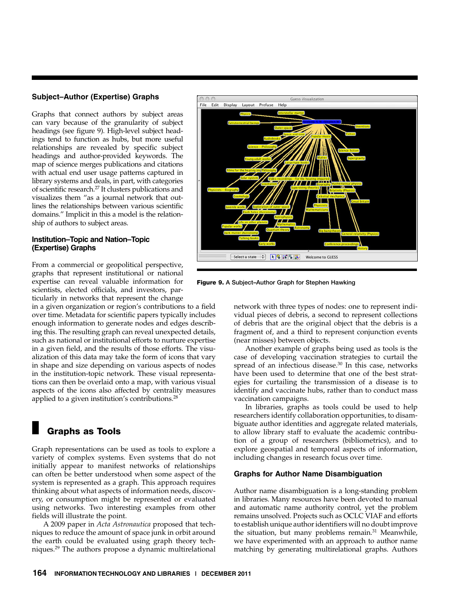#### **Subject–Author (Expertise) Graphs**

Graphs that connect authors by subject areas can vary because of the granularity of subject headings (see figure 9). High-level subject headings tend to function as hubs, but more useful relationships are revealed by specific subject headings and author-provided keywords. The map of science merges publications and citations with actual end user usage patterns captured in library systems and deals, in part, with categories of scientific research.<sup>27</sup> It clusters publications and visualizes them "as a journal network that outlines the relationships between various scientific domains." Implicit in this a model is the relationship of authors to subject areas.

#### **Institution–Topic and Nation–Topic (Expertise) Graphs**

From a commercial or geopolitical perspective, graphs that represent institutional or national expertise can reveal valuable information for scientists, elected officials, and investors, particularly in networks that represent the change

in a given organization or region's contributions to a field over time. Metadata for scientific papers typically includes enough information to generate nodes and edges describing this. The resulting graph can reveal unexpected details, such as national or institutional efforts to nurture expertise in a given field, and the results of those efforts. The visualization of this data may take the form of icons that vary in shape and size depending on various aspects of nodes in the institution-topic network. These visual representations can then be overlaid onto a map, with various visual aspects of the icons also affected by centrality measures applied to a given institution's contributions.<sup>28</sup>

### Graphs as Tools

Graph representations can be used as tools to explore a variety of complex systems. Even systems that do not initially appear to manifest networks of relationships can often be better understood when some aspect of the system is represented as a graph. This approach requires thinking about what aspects of information needs, discovery, or consumption might be represented or evaluated using networks. Two interesting examples from other fields will illustrate the point.

A 2009 paper in *Acta Astronautica* proposed that techniques to reduce the amount of space junk in orbit around the earth could be evaluated using graph theory techniques.29 The authors propose a dynamic multirelational



Figure 9. A Subject–Author Graph for Stephen Hawking

network with three types of nodes: one to represent individual pieces of debris, a second to represent collections of debris that are the original object that the debris is a fragment of, and a third to represent conjunction events (near misses) between objects.

Another example of graphs being used as tools is the case of developing vaccination strategies to curtail the spread of an infectious disease. $30$  In this case, networks have been used to determine that one of the best strategies for curtailing the transmission of a disease is to identify and vaccinate hubs, rather than to conduct mass vaccination campaigns.

In libraries, graphs as tools could be used to help researchers identify collaboration opportunities, to disambiguate author identities and aggregate related materials, to allow library staff to evaluate the academic contribution of a group of researchers (bibliometrics), and to explore geospatial and temporal aspects of information, including changes in research focus over time.

#### **Graphs for Author Name Disambiguation**

Author name disambiguation is a long-standing problem in libraries. Many resources have been devoted to manual and automatic name authority control, yet the problem remains unsolved. Projects such as OCLC VIAF and efforts to establish unique author identifiers will no doubt improve the situation, but many problems remain. $31$  Meanwhile, we have experimented with an approach to author name matching by generating multirelational graphs. Authors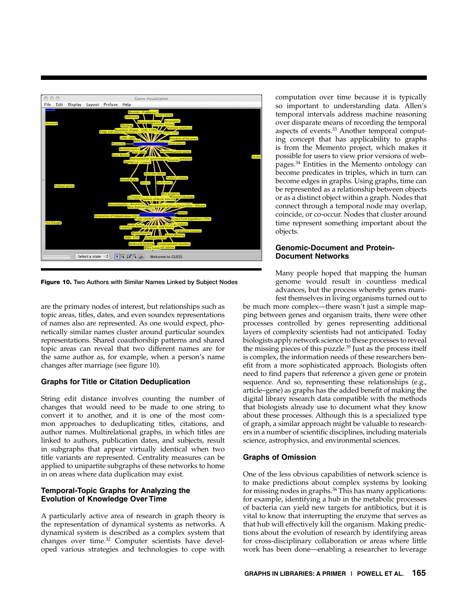

Figure 10. Two Authors with Similar Names Linked by Subject Nodes

are the primary nodes of interest, but relationships such as topic areas, titles, dates, and even soundex representations of names also are represented. As one would expect, phonetically similar names cluster around particular soundex representations. Shared coauthorship patterns and shared topic areas can reveal that two different names are for the same author as, for example, when a person's name changes after marriage (see figure 10).

#### **Graphs for Title or Citation Deduplication**

String edit distance involves counting the number of changes that would need to be made to one string to convert it to another, and it is one of the most common approaches to deduplicating titles, citations, and author names. Multirelational graphs, in which titles are linked to authors, publication dates, and subjects, result in subgraphs that appear virtually identical when two title variants are represented. Centrality measures can be applied to unipartite subgraphs of these networks to home in on areas where data duplication may exist.

#### **Temporal-Topic Graphs for Analyzing the Evolution of Knowledge Over Time**

A particularly active area of research in graph theory is the representation of dynamical systems as networks. A dynamical system is described as a complex system that changes over time.32 Computer scientists have developed various strategies and technologies to cope with computation over time because it is typically so important to understanding data. Allen's temporal intervals address machine reasoning over disparate means of recording the temporal aspects of events.33 Another temporal computing concept that has applicability to graphs is from the Memento project, which makes it possible for users to view prior versions of webpages.34 Entities in the Memento ontology can become predicates in triples, which in turn can become edges in graphs. Using graphs, time can be represented as a relationship between objects or as a distinct object within a graph. Nodes that connect through a temporal node may overlap, coincide, or co-occur. Nodes that cluster around time represent something important about the objects.

#### **Genomic-Document and Protein-Document Networks**

Many people hoped that mapping the human genome would result in countless medical advances, but the process whereby genes manifest themselves in living organisms turned out to

be much more complex—there wasn't just a simple mapping between genes and organism traits, there were other processes controlled by genes representing additional layers of complexity scientists had not anticipated. Today biologists apply network science to these processes to reveal the missing pieces of this puzzle.35 Just as the process itself is complex, the information needs of these researchers benefit from a more sophisticated approach. Biologists often need to find papers that reference a given gene or protein sequence. And so, representing these relationships (e.g., article–gene) as graphs has the added benefit of making the digital library research data compatible with the methods that biologists already use to document what they know about these processes. Although this is a specialized type of graph, a similar approach might be valuable to researchers in a number of scientific disciplines, including materials science, astrophysics, and environmental sciences.

#### **Graphs of Omission**

One of the less obvious capabilities of network science is to make predictions about complex systems by looking for missing nodes in graphs.<sup>36</sup> This has many applications: for example, identifying a hub in the metabolic processes of bacteria can yield new targets for antibiotics, but it is vital to know that interrupting the enzyme that serves as that hub will effectively kill the organism. Making predictions about the evolution of research by identifying areas for cross-disciplinary collaboration or areas where little work has been done—enabling a researcher to leverage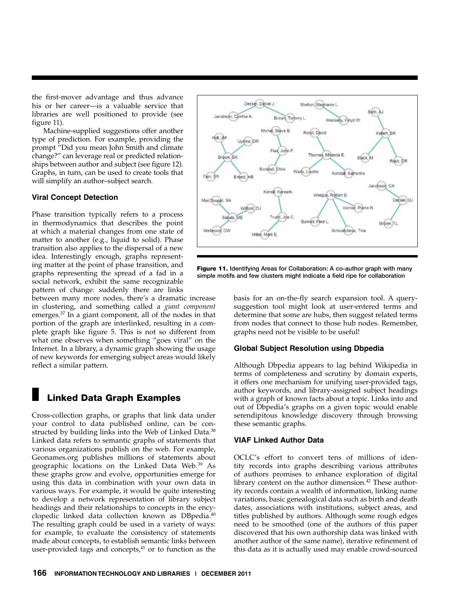the first-mover advantage and thus advance his or her career—is a valuable service that libraries are well positioned to provide (see figure 11).

Machine-supplied suggestions offer another type of prediction. For example, providing the prompt "Did you mean John Smith and climate change?" can leverage real or predicted relationships between author and subject (see figure 12). Graphs, in turn, can be used to create tools that will simplify an author–subject search.

#### **Viral Concept Detection**

Phase transition typically refers to a process in thermodynamics that describes the point at which a material changes from one state of matter to another (e.g., liquid to solid). Phase transition also applies to the dispersal of a new idea. Interestingly enough, graphs representing matter at the point of phase transition, and graphs representing the spread of a fad in a social network, exhibit the same recognizable pattern of change: suddenly there are links

between many more nodes, there's a dramatic increase in clustering, and something called a *giant component* emerges.37 In a giant component, all of the nodes in that portion of the graph are interlinked, resulting in a complete graph like figure 5. This is not so different from what one observes when something "goes viral" on the Internet. In a library, a dynamic graph showing the usage of new keywords for emerging subject areas would likely reflect a similar pattern.

### **Linked Data Graph Examples**

Cross-collection graphs, or graphs that link data under your control to data published online, can be constructed by building links into the Web of Linked Data.<sup>38</sup> Linked data refers to semantic graphs of statements that various organizations publish on the web. For example, Geonames.org publishes millions of statements about geographic locations on the Linked Data Web.<sup>39</sup> As these graphs grow and evolve, opportunities emerge for using this data in combination with your own data in various ways. For example, it would be quite interesting to develop a network representation of library subject headings and their relationships to concepts in the encyclopedic linked data collection known as DBpedia.<sup>40</sup> The resulting graph could be used in a variety of ways: for example, to evaluate the consistency of statements made about concepts, to establish semantic links between user-provided tags and concepts, $41$  or to function as the



Figure 11. Identifying Areas for Collaboration: A co-author graph with many simple motifs and few clusters might indicate a field ripe for collaboration

basis for an on-the-fly search expansion tool. A querysuggestion tool might look at user-entered terms and determine that some are hubs, then suggest related terms from nodes that connect to those hub nodes. Remember, graphs need not be visible to be useful!

#### **Global Subject Resolution using Dbpedia**

Although Dbpedia appears to lag behind Wikipedia in terms of completeness and scrutiny by domain experts, it offers one mechanism for unifying user-provided tags, author keywords, and library-assigned subject headings with a graph of known facts about a topic. Links into and out of Dbpedia's graphs on a given topic would enable serendipitous knowledge discovery through browsing these semantic graphs.

#### **VIAF Linked Author Data**

OCLC's effort to convert tens of millions of identity records into graphs describing various attributes of authors promises to enhance exploration of digital library content on the author dimension.<sup>42</sup> These authority records contain a wealth of information, linking name variations, basic genealogical data such as birth and death dates, associations with institutions, subject areas, and titles published by authors. Although some rough edges need to be smoothed (one of the authors of this paper discovered that his own authorship data was linked with another author of the same name), iterative refinement of this data as it is actually used may enable crowd-sourced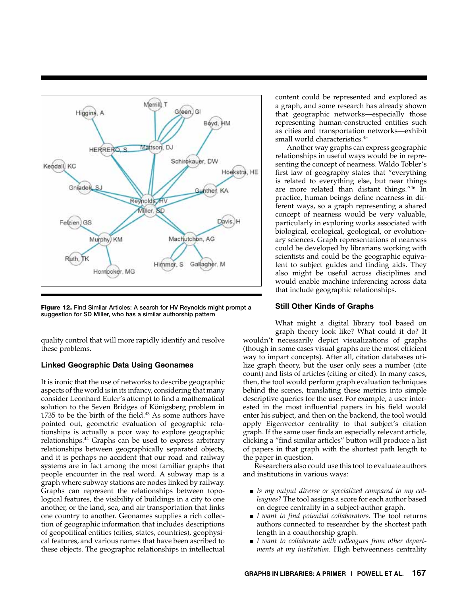

Figure 12. Find Similar Articles: A search for HV Reynolds might prompt a suggestion for SD Miller, who has a similar authorship pattern

quality control that will more rapidly identify and resolve these problems.

#### **Linked Geographic Data Using Geonames**

It is ironic that the use of networks to describe geographic aspects of the world is in its infancy, considering that many consider Leonhard Euler's attempt to find a mathematical solution to the Seven Bridges of Königsberg problem in 1735 to be the birth of the field. $43$  As some authors have pointed out, geometric evaluation of geographic relationships is actually a poor way to explore geographic relationships.44 Graphs can be used to express arbitrary relationships between geographically separated objects, and it is perhaps no accident that our road and railway systems are in fact among the most familiar graphs that people encounter in the real word. A subway map is a graph where subway stations are nodes linked by railway. Graphs can represent the relationships between topological features, the visibility of buildings in a city to one another, or the land, sea, and air transportation that links one country to another. Geonames supplies a rich collection of geographic information that includes descriptions of geopolitical entities (cities, states, countries), geophysical features, and various names that have been ascribed to these objects. The geographic relationships in intellectual

content could be represented and explored as a graph, and some research has already shown that geographic networks—especially those representing human-constructed entities such as cities and transportation networks—exhibit small world characteristics.<sup>45</sup>

Another way graphs can express geographic relationships in useful ways would be in representing the concept of nearness. Waldo Tobler's first law of geography states that "everything is related to everything else, but near things are more related than distant things."46 In practice, human beings define nearness in different ways, so a graph representing a shared concept of nearness would be very valuable, particularly in exploring works associated with biological, ecological, geological, or evolutionary sciences. Graph representations of nearness could be developed by librarians working with scientists and could be the geographic equivalent to subject guides and finding aids. They also might be useful across disciplines and would enable machine inferencing across data that include geographic relationships.

#### **Still Other Kinds of Graphs**

What might a digital library tool based on graph theory look like? What could it do? It wouldn't necessarily depict visualizations of graphs (though in some cases visual graphs are the most efficient way to impart concepts). After all, citation databases utilize graph theory, but the user only sees a number (cite count) and lists of articles (citing or cited). In many cases, then, the tool would perform graph evaluation techniques behind the scenes, translating these metrics into simple descriptive queries for the user. For example, a user interested in the most influential papers in his field would enter his subject, and then on the backend, the tool would apply Eigenvector centrality to that subject's citation graph. If the same user finds an especially relevant article, clicking a "find similar articles" button will produce a list of papers in that graph with the shortest path length to the paper in question.

Researchers also could use this tool to evaluate authors and institutions in various ways:

- *Is my output diverse or specialized compared to my colleagues?* The tool assigns a score for each author based on degree centrality in a subject-author graph.
- *I want to find potential collaborators*. The tool returns authors connected to researcher by the shortest path length in a coauthorship graph.
- *I want to collaborate with colleagues from other departments at my institution.* High betweenness centrality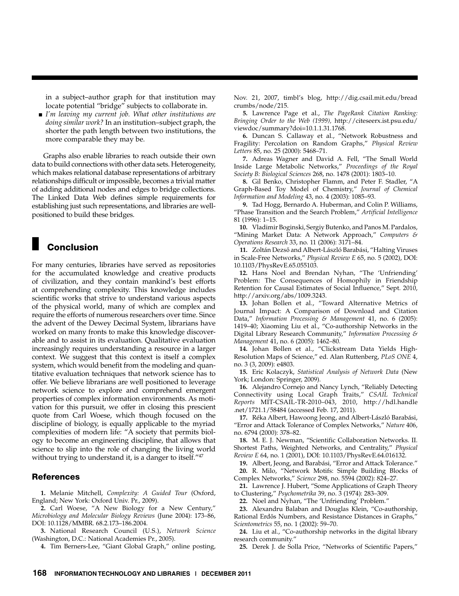in a subject–author graph for that institution may locate potential "bridge" subjects to collaborate in.

■ *I'm leaving my current job.* What other institutions are *doing similar work?* In an institution–subject graph, the shorter the path length between two institutions, the more comparable they may be.

Graphs also enable libraries to reach outside their own data to build connections with other data sets. Heterogeneity, which makes relational database representations of arbitrary relationships difficult or impossible, becomes a trivial matter of adding additional nodes and edges to bridge collections. The Linked Data Web defines simple requirements for establishing just such representations, and libraries are wellpositioned to build these bridges.

### **Conclusion**

For many centuries, libraries have served as repositories for the accumulated knowledge and creative products of civilization, and they contain mankind's best efforts at comprehending complexity. This knowledge includes scientific works that strive to understand various aspects of the physical world, many of which are complex and require the efforts of numerous researchers over time. Since the advent of the Dewey Decimal System, librarians have worked on many fronts to make this knowledge discoverable and to assist in its evaluation. Qualitative evaluation increasingly requires understanding a resource in a larger context. We suggest that this context is itself a complex system, which would benefit from the modeling and quantitative evaluation techniques that network science has to offer. We believe librarians are well positioned to leverage network science to explore and comprehend emergent properties of complex information environments. As motivation for this pursuit, we offer in closing this prescient quote from Carl Woese, which though focused on the discipline of biology, is equally applicable to the myriad complexities of modern life: "A society that permits biology to become an engineering discipline, that allows that science to slip into the role of changing the living world without trying to understand it, is a danger to itself."<sup>47</sup>

#### References

**1.** Melanie Mitchell, *Complexity: A Guided Tour* (Oxford, England; New York: Oxford Univ. Pr., 2009).

**2.** Carl Woese, "A New Biology for a New Century," *Microbiology and Molecular Biology Reviews* (June 2004): 173–86, DOI: 10.1128/MMBR. 68.2.173–186.2004.

**3.** National Research Council (U.S.), *Network Science* (Washington, D.C.: National Academies Pr., 2005).

**4.** Tim Berners-Lee, "Giant Global Graph," online posting,

Nov. 21, 2007, timbl's blog, http://dig.csail.mit.edu/bread crumbs/node/215.

**5.** Lawrence Page et al., *The PageRank Citation Ranking: Bringing Order to the Web (1999),* http://citeseerx.ist.psu.edu/ viewdoc/summary?doi=10.1.1.31.1768.

**6.** Duncan S. Callaway et al., "Network Robustness and Fragility: Percolation on Random Graphs," *Physical Review Letters* 85, no. 25 (2000): 5468–71.

**7.** Adreas Wagner and David A. Fell, "The Small World Inside Large Metabolic Networks," *Proceedings of the Royal Society B: Biological Sciences* 268, no. 1478 (2001): 1803–10.

**8.** Gil Benko, Christopher Flamm, and Peter F. Stadler, "A Graph-Based Toy Model of Chemistry," *Journal of Chemical Information and Modeling* 43, no. 4 (2003): 1085–93.

**9.** Tad Hogg, Bernardo A. Huberman, and Colin P. Williams, "Phase Transition and the Search Problem," *Artificial Intelligence* 81 (1996): 1–15.

**10.** Vladimir Boginski, Sergiy Butenko, and Panos M. Pardalos, "Mining Market Data: A Network Approach," *Computers & Operations Research* 33, no. 11 (2006): 3171–84.

**11.** Zoltán Dezső and Albert-László Barabási, "Halting Viruses in Scale-Free Networks," *Physical Review E* 65, no. 5 (2002), DOI: 10.1103/PhysRevE.65.055103.

**12.** Hans Noel and Brendan Nyhan, "The 'Unfriending' Problem: The Consequences of Homophily in Friendship Retention for Causal Estimates of Social Influence," Sept. 2010, http://arxiv.org/abs/1009.3243.

**13.** Johan Bollen et al., "Toward Alternative Metrics of Journal Impact: A Comparison of Download and Citation Data," *Information Processing & Management* 41, no. 6 (2005): 1419–40; Xiaoming Liu et al., "Co-authorship Networks in the Digital Library Research Community," *Information Processing & Management* 41, no. 6 (2005): 1462–80.

**14.** Johan Bollen et al., "Clickstream Data Yields High-Resolution Maps of Science," ed. Alan Ruttenberg, *PLoS ONE* 4, no. 3 (3, 2009): e4803.

**15.** Eric Kolaczyk, *Statistical Analysis of Network Data* (New York; London: Springer, 2009).

**16.** Alejandro Cornejo and Nancy Lynch, "Reliably Detecting Connectivity using Local Graph Traits," *CSAIL Technical Reports* MIT-CSAIL-TR-2010–043, 2010, http://hdl.handle .net/1721.1/58484 (accessed Feb. 17, 2011).

**17.** Réka Albert, Hawoong Jeong, and Albert-László Barabási, "Error and Attack Tolerance of Complex Networks," *Nature* 406, no. 6794 (2000): 378–82.

**18.** M. E. J. Newman, "Scientific Collaboration Networks. II. Shortest Paths, Weighted Networks, and Centrality," *Physical Review E* 64, no. 1 (2001), DOI: 10.1103/PhysRevE.64.016132.

**19.** Albert, Jeong, and Barabási, "Error and Attack Tolerance." **20.** R. Milo, "Network Motifs: Simple Building Blocks of

Complex Networks," *Science* 298, no. 5594 (2002): 824–27. **21.** Lawrence J. Hubert, "Some Applications of Graph Theory

to Clustering," *Psychometrika* 39, no. 3 (1974): 283–309.

**22.** Noel and Nyhan, "The 'Unfriending' Problem."

**23.** Alexandru Balaban and Douglas Klein, "Co-authorship, Rational Erdős Numbers, and Resistance Distances in Graphs," *Scientometrics* 55, no. 1 (2002): 59–70.

**24.** Liu et al., "Co-authorship networks in the digital library research community."

**25.** Derek J. de Solla Price, "Networks of Scientific Papers,"